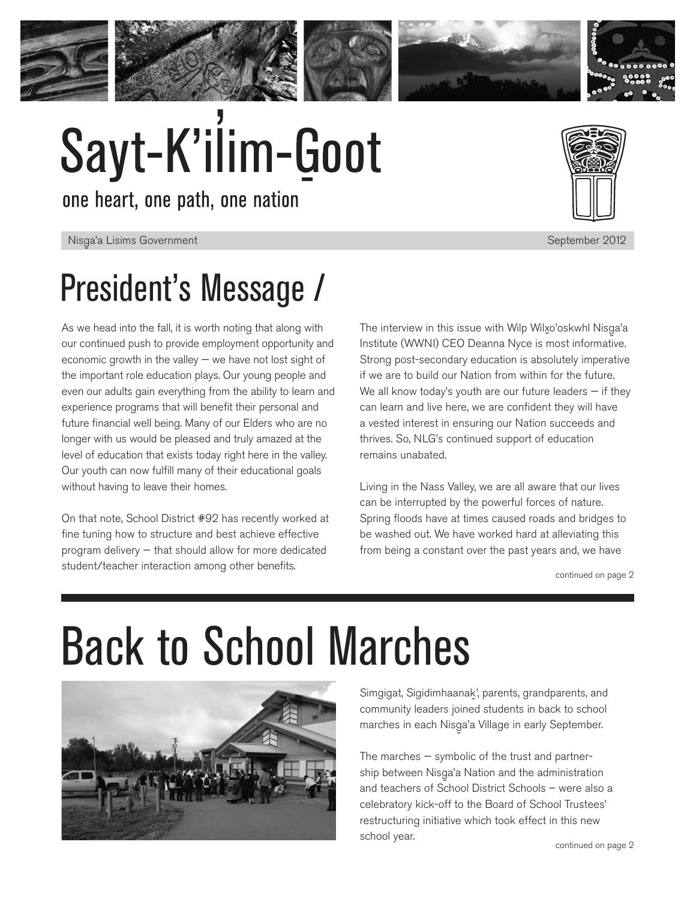



# Sayt-K'ilim-Goot

one heart, one path, one nation

### Nisga'a Lisims Government and a structure of the structure of the structure of the September 2012 and the structure of the structure of the structure of the structure of the structure of the structure of the structure of t President's Message /

As we head into the fall, it is worth noting that along with our continued push to provide employment opportunity and economic growth in the valley — we have not lost sight of the important role education plays. Our young people and even our adults gain everything from the ability to learn and experience programs that will benefit their personal and future financial well being. Many of our Elders who are no longer with us would be pleased and truly amazed at the level of education that exists today right here in the valley. Our youth can now fulfill many of their educational goals without having to leave their homes.

On that note, School District #92 has recently worked at fine tuning how to structure and best achieve effective program delivery — that should allow for more dedicated student/teacher interaction among other benefits.

The interview in this issue with Wilp Wilxo'oskwhl Nisga'a<br>http://www.wilo.com Institute (WWNI) CEO Deanna Nyce is most informative. Strong post-secondary education is absolutely imperative if we are to build our Nation from within for the future. We all know today's youth are our future leaders  $-$  if they can learn and live here, we are confident they will have a vested interest in ensuring our Nation succeeds and thrives. So, NLG's continued support of education remains unabated.

Living in the Nass Valley, we are all aware that our lives can be interrupted by the powerful forces of nature. Spring floods have at times caused roads and bridges to be washed out. We have worked hard at alleviating this from being a constant over the past years and, we have

continued on page 2

## Back to School Marches



Simgigat, Sigidimhaanak', parents, grandparents, and community leaders joined students in back to school marches in each Nisga'a Village in early September.<br>.

The marches — symbolic of the trust and partnership between Nisga'a Nation and the administration and teachers of School District Schools – were also a celebratory kick-off to the Board of School Trustees' restructuring initiative which took effect in this new school year.

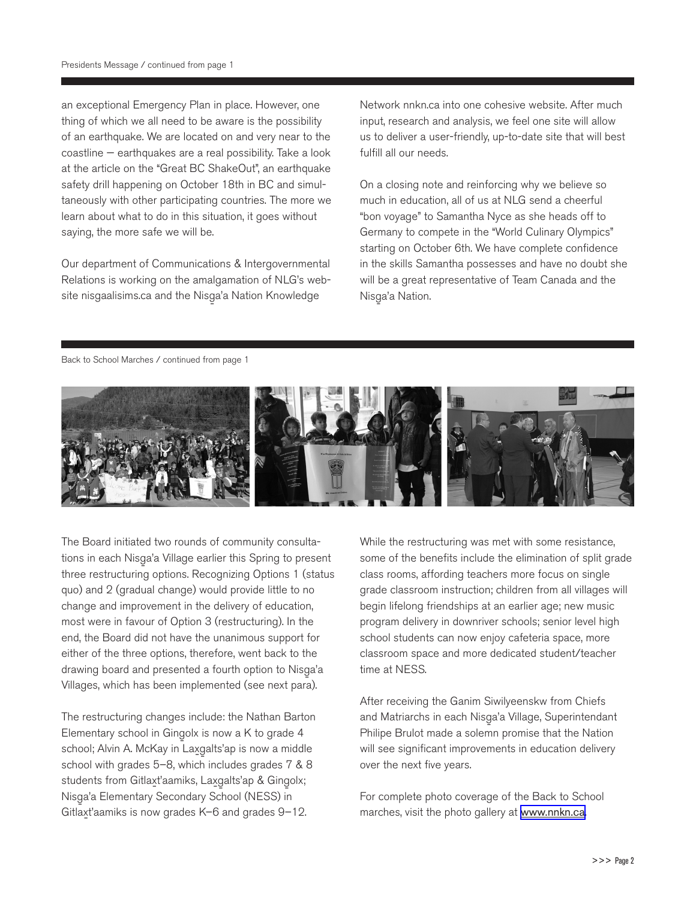an exceptional Emergency Plan in place. However, one thing of which we all need to be aware is the possibility of an earthquake. We are located on and very near to the coastline — earthquakes are a real possibility. Take a look at the article on the "Great BC ShakeOut", an earthquake safety drill happening on October 18th in BC and simultaneously with other participating countries. The more we learn about what to do in this situation, it goes without saying, the more safe we will be.

Our department of Communications & Intergovernmental Relations is working on the amalgamation of NLG's website nisgaalisims.ca and the Nisga'a Nation Knowledge

Network nnkn.ca into one cohesive website. After much input, research and analysis, we feel one site will allow us to deliver a user-friendly, up-to-date site that will best fulfill all our needs.

On a closing note and reinforcing why we believe so much in education, all of us at NLG send a cheerful "bon voyage" to Samantha Nyce as she heads off to Germany to compete in the "World Culinary Olympics" starting on October 6th. We have complete confidence in the skills Samantha possesses and have no doubt she will be a great representative of Team Canada and the Nisga'a Nation.<br>'

#### Back to School Marches / continued from page 1



The Board initiated two rounds of community consultations in each Nisga'a Village earlier this Spring to present<br>" three restructuring options. Recognizing Options 1 (status quo) and 2 (gradual change) would provide little to no change and improvement in the delivery of education, most were in favour of Option 3 (restructuring). In the end, the Board did not have the unanimous support for either of the three options, therefore, went back to the drawing board and presented a fourth option to Nisga'a<br>\{" Villages, which has been implemented (see next para).

The restructuring changes include: the Nathan Barton Elementary school in Gingolx is now a K to grade 4 school; Alvin A. McKay in Laxgalts'ap is now a middle - school with grades 5–8, which includes grades 7 & 8 students from Gitlaxt'aamiks, Laxgalts'ap & Gingolx;<br>Alimentalis - Nisg-a'a Elementary Secondary School (NESS) in Gitlax-t'aamiks is now grades K–6 and grades 9–12.

While the restructuring was met with some resistance, some of the benefits include the elimination of split grade class rooms, affording teachers more focus on single grade classroom instruction; children from all villages will begin lifelong friendships at an earlier age; new music program delivery in downriver schools; senior level high school students can now enjoy cafeteria space, more classroom space and more dedicated student/teacher time at NESS.

After receiving the Ganim Siwilyeenskw from Chiefs and Matriarchs in each Nisga'a Village, Superintendant<br>Bullion Bullion Philipe Brulot made a solemn promise that the Nation will see significant improvements in education delivery over the next five years.

For complete photo coverage of the Back to School marches, visit the photo gallery at <www.nnkn.ca>.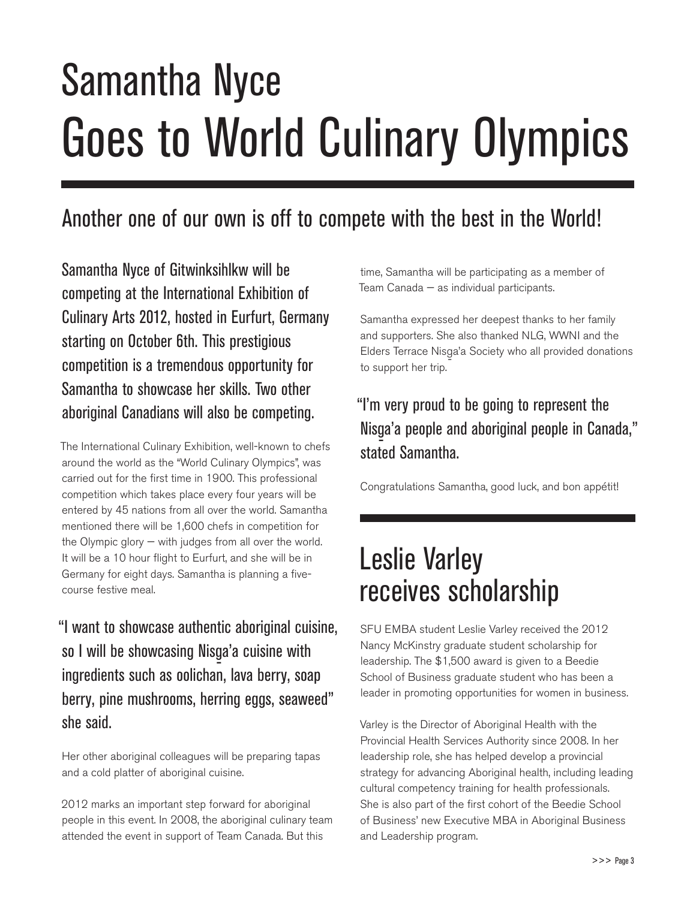## Samantha Nyce Goes to World Culinary Olympics

### Another one of our own is off to compete with the best in the World!

Samantha Nyce of Gitwinksihlkw will be competing at the International Exhibition of Culinary Arts 2012, hosted in Eurfurt, Germany starting on October 6th. This prestigious competition is a tremendous opportunity for Samantha to showcase her skills. Two other aboriginal Canadians will also be competing.

The International Culinary Exhibition, well-known to chefs around the world as the "World Culinary Olympics", was carried out for the first time in 1900. This professional competition which takes place every four years will be entered by 45 nations from all over the world. Samantha mentioned there will be 1,600 chefs in competition for the Olympic glory  $-$  with judges from all over the world. It will be a 10 hour flight to Eurfurt, and she will be in Germany for eight days. Samantha is planning a fivecourse festive meal.

"I want to showcase authentic aboriginal cuisine, so I will be showcasing Nisga'a cuisine with<br>. ingredients such as oolichan, lava berry, soap berry, pine mushrooms, herring eggs, seaweed" she said.

Her other aboriginal colleagues will be preparing tapas and a cold platter of aboriginal cuisine.

2012 marks an important step forward for aboriginal people in this event. In 2008, the aboriginal culinary team attended the event in support of Team Canada. But this

time, Samantha will be participating as a member of Team Canada — as individual participants.

Samantha expressed her deepest thanks to her family and supporters. She also thanked NLG, WWNI and the Elders Terrace Nisga'a Society who all provided donations<br>' to support her trip.

#### "I'm very proud to be going to represent the Nisg-a'a people and aboriginal people in Canada," stated Samantha.

Congratulations Samantha, good luck, and bon appétit!

### Leslie Varley receives scholarship

SFU EMBA student Leslie Varley received the 2012 Nancy McKinstry graduate student scholarship for leadership. The \$1,500 award is given to a Beedie School of Business graduate student who has been a leader in promoting opportunities for women in business.

Varley is the Director of Aboriginal Health with the Provincial Health Services Authority since 2008. In her leadership role, she has helped develop a provincial strategy for advancing Aboriginal health, including leading cultural competency training for health professionals. She is also part of the first cohort of the Beedie School of Business' new Executive MBA in Aboriginal Business and Leadership program.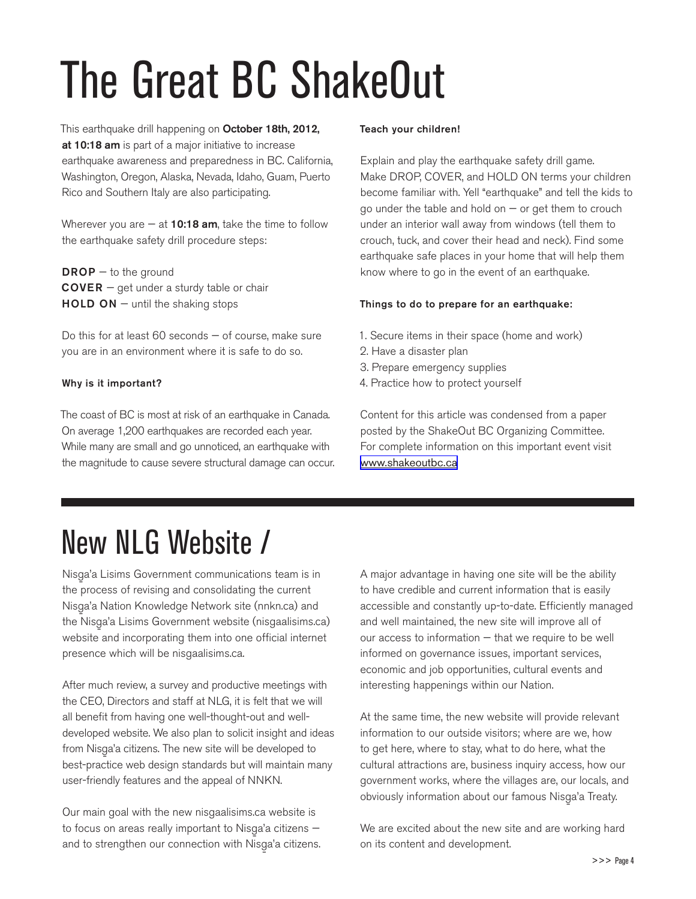## The Great BC ShakeOut

This earthquake drill happening on October 18th, 2012, at 10:18 am is part of a major initiative to increase earthquake awareness and preparedness in BC. California, Washington, Oregon, Alaska, Nevada, Idaho, Guam, Puerto Rico and Southern Italy are also participating.

Wherever you are  $-$  at 10:18 am, take the time to follow the earthquake safety drill procedure steps:

 $DROP - to the ground$  $\text{Cover } R - \text{get}$  under a sturdy table or chair  $HOLD ON - until the sharing stops$ 

Do this for at least 60 seconds — of course, make sure you are in an environment where it is safe to do so.

#### Why is it important?

The coast of BC is most at risk of an earthquake in Canada. On average 1,200 earthquakes are recorded each year. While many are small and go unnoticed, an earthquake with the magnitude to cause severe structural damage can occur.

#### Teach your children!

Explain and play the earthquake safety drill game. Make DROP, COVER, and HOLD ON terms your children become familiar with. Yell "earthquake" and tell the kids to go under the table and hold on  $-$  or get them to crouch under an interior wall away from windows (tell them to crouch, tuck, and cover their head and neck). Find some earthquake safe places in your home that will help them know where to go in the event of an earthquake.

#### Things to do to prepare for an earthquake:

- 1. Secure items in their space (home and work)
- 2. Have a disaster plan
- 3. Prepare emergency supplies
- 4. Practice how to protect yourself

Content for this article was condensed from a paper posted by the ShakeOut BC Organizing Committee. For complete information on this important event visit <www.shakeoutbc.ca>

### New NLG Website /

Nisga'a Lisims Government communications team is in<br>'' the process of revising and consolidating the current Nisga'a Nation Knowledge Network site (nnkn.ca) and<br>'' the Nisg-a'a Lisims Government website (nisgaalisims.ca) website and incorporating them into one official internet presence which will be nisgaalisims.ca.

After much review, a survey and productive meetings with the CEO, Directors and staff at NLG, it is felt that we will all benefit from having one well-thought-out and welldeveloped website. We also plan to solicit insight and ideas from Nisg-a'a citizens. The new site will be developed to best-practice web design standards but will maintain many user-friendly features and the appeal of NNKN.

Our main goal with the new nisgaalisims.ca website is to focus on areas really important to Nisga'a citizens and to strengthen our connection with Nisga'a citizens.<br>. A major advantage in having one site will be the ability to have credible and current information that is easily accessible and constantly up-to-date. Efficiently managed and well maintained, the new site will improve all of our access to information — that we require to be well informed on governance issues, important services, economic and job opportunities, cultural events and interesting happenings within our Nation.

At the same time, the new website will provide relevant information to our outside visitors; where are we, how to get here, where to stay, what to do here, what the cultural attractions are, business inquiry access, how our government works, where the villages are, our locals, and obviously information about our famous Nisga'a Treaty.<br>'

We are excited about the new site and are working hard on its content and development.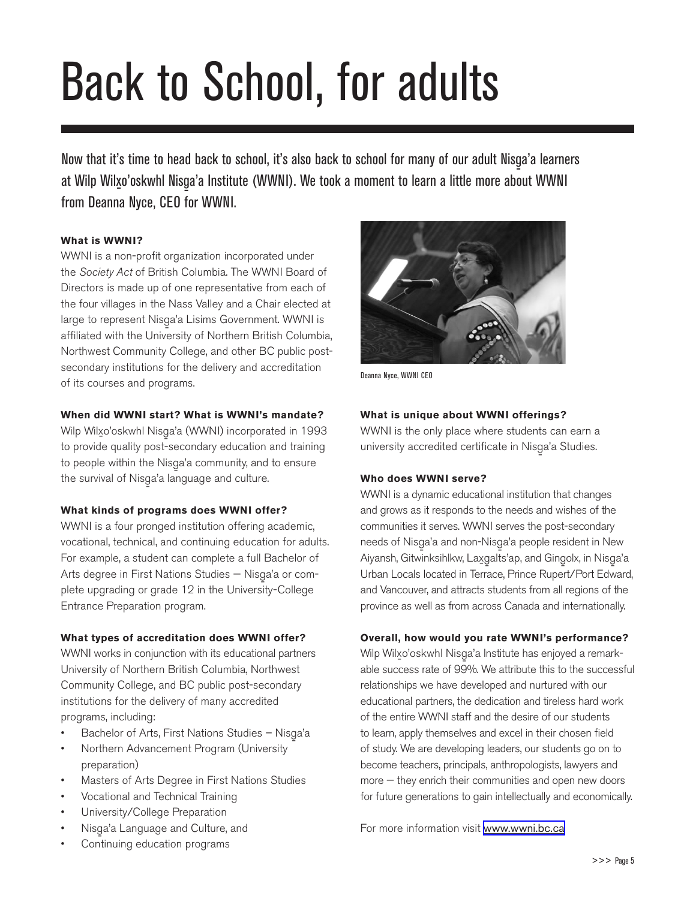## Back to School, for adults

Now that it's time to head back to school, it's also back to school for many of our adult Nisg-a'a learners at Wilp Wil<u>x</u>o'oskwhl Nisga'a Institute (WWNI). We took a moment to learn a little more about WWNI<br>´ from Deanna Nyce, CEO for WWNI.

#### **What is WWNI?**

WWNI is a non-profit organization incorporated under the *Society Act* of British Columbia. The WWNI Board of Directors is made up of one representative from each of the four villages in the Nass Valley and a Chair elected at large to represent Nisga'a Lisims Government. WWNI is<br>Alisim and the control of National Collection affiliated with the University of Northern British Columbia, Northwest Community College, and other BC public postsecondary institutions for the delivery and accreditation of its courses and programs.

#### **When did WWNI start? What is WWNI's mandate?**

Wilp Wilxo'oskwhl Nisga'a (WWNI) incorporated in 1993<br>. to provide quality post-secondary education and training to people within the Nisga'a community, and to ensure<br>'' the survival of Nisga'a language and culture.<br>.

#### **What kinds of programs does WWNI offer?**

WWNI is a four pronged institution offering academic, vocational, technical, and continuing education for adults. For example, a student can complete a full Bachelor of Arts degree in First Nations Studies – Nisga'a or complete upgrading or grade 12 in the University-College Entrance Preparation program.

#### **What types of accreditation does WWNI offer?**

WWNI works in conjunction with its educational partners University of Northern British Columbia, Northwest Community College, and BC public post-secondary institutions for the delivery of many accredited programs, including:

- Bachelor of Arts, First Nations Studies Nisga'a<br>
a'aa
- Northern Advancement Program (University preparation)
- Masters of Arts Degree in First Nations Studies
- Vocational and Technical Training
- University/College Preparation
- Nisga'a Language and Culture, and
- Continuing education programs



Deanna Nyce, WWNI CEO

#### **What is unique about WWNI offerings?**

WWNI is the only place where students can earn a university accredited certificate in Nisga'a Studies.<br>.

#### **Who does WWNI serve?**

WWNI is a dynamic educational institution that changes and grows as it responds to the needs and wishes of the communities it serves. WWNI serves the post-secondary needs of Nisga'a and non-Nisga'a people resident in New<br>A'a and C'hall al llab a llab a llab a llab a llab a llab a llab a ll Aiyansh, Gitwinksihlkw, Lax-g alts'ap, and Ging-olx, in Nisg-a'a - Urban Locals located in Terrace, Prince Rupert/Port Edward, and Vancouver, and attracts students from all regions of the province as well as from across Canada and internationally.

#### **Overall, how would you rate WWNI's performance?**

Wilp Wilx-o'oskwhl Nisg-a'a Institute has enjoyed a remarkable success rate of 99%. We attribute this to the successful relationships we have developed and nurtured with our educational partners, the dedication and tireless hard work of the entire WWNI staff and the desire of our students to learn, apply themselves and excel in their chosen field of study. We are developing leaders, our students go on to become teachers, principals, anthropologists, lawyers and more — they enrich their communities and open new doors for future generations to gain intellectually and economically.

For more information visit <www.wwni.bc.ca>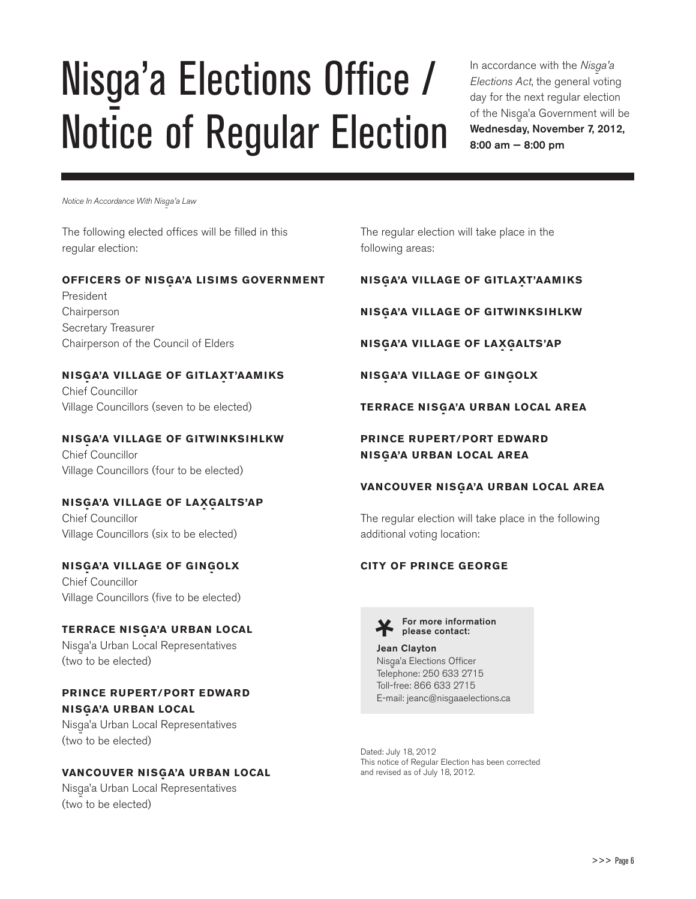## Nisga'a Elections Office / Notice of Regular Election

In accordance with the *Nisga'a Elections Act*, the general voting day for the next regular election of the Nisga'a Government will be<br>Warldoodse Nissanhar 7,0010 Wednesday, November 7, 2012, 8:00 am — 8:00 pm

*Notice In Accordance With Nisg-a'a Law*

The following elected offices will be filled in this regular election:

#### **OFFICERS OF NISGA'A LISIMS GOVERNMENT**

President Chairperson Secretary Treasurer Chairperson of the Council of Elders

#### **NISGA'A VILLAGE OF GITLAXT'AAMIKS**

Chief Councillor Village Councillors (seven to be elected)

#### **NISGA'A VILLAGE OF GITWINKSIHLKW**

Chief Councillor Village Councillors (four to be elected)

#### **NISG- A'A VILLAGE OF LAX- G- ALTS'AP**

Chief Councillor Village Councillors (six to be elected)

#### **NISGA'A VILLAGE OF GINGOLX**

Chief Councillor Village Councillors (five to be elected)

#### **TERRACE NISGA'A URBAN LOCAL**

Nisga'a Urban Local Representatives<br>( (two to be elected)

#### **PRINCE RUPERT/PORT EDWARD NISGA'A URBAN LOCAL**

Nisga'a Urban Local Representatives<br>( (two to be elected)

#### **VANCOUVER NISGA'A URBAN LOCAL**

Nisga'a Urban Local Representatives<br>( (two to be elected)

The regular election will take place in the following areas:

#### **NISGA'A VILLAGE OF GITLAXT'AAMIKS**

**NISGA'A VILLAGE OF GITWINKSIHLKW** 

**NISGA'A VILLAGE OF LAXGALTS'AP** 

**NISGA'A VILLAGE OF GINGOLX** 

#### **TERRACE NISGA'A URBAN LOCAL AREA**

#### **PRINCE RUPERT/PORT EDWARD NISG- A'A URBAN LOCAL AREA**

#### **VANCOUVER NISGA'A URBAN LOCAL AREA**

The regular election will take place in the following additional voting location:

#### **CITY OF PRINCE GEORGE**



For more information please contact:

#### Jean Clayton

Nisga'a Elections Officer<br>Telerhana: 950,622,971 Telephone: 250 633 2715 Toll-free: 866 633 2715 E-mail: jeanc@nisgaaelections.ca

Dated: July 18, 2012 This notice of Regular Election has been corrected and revised as of July 18, 2012.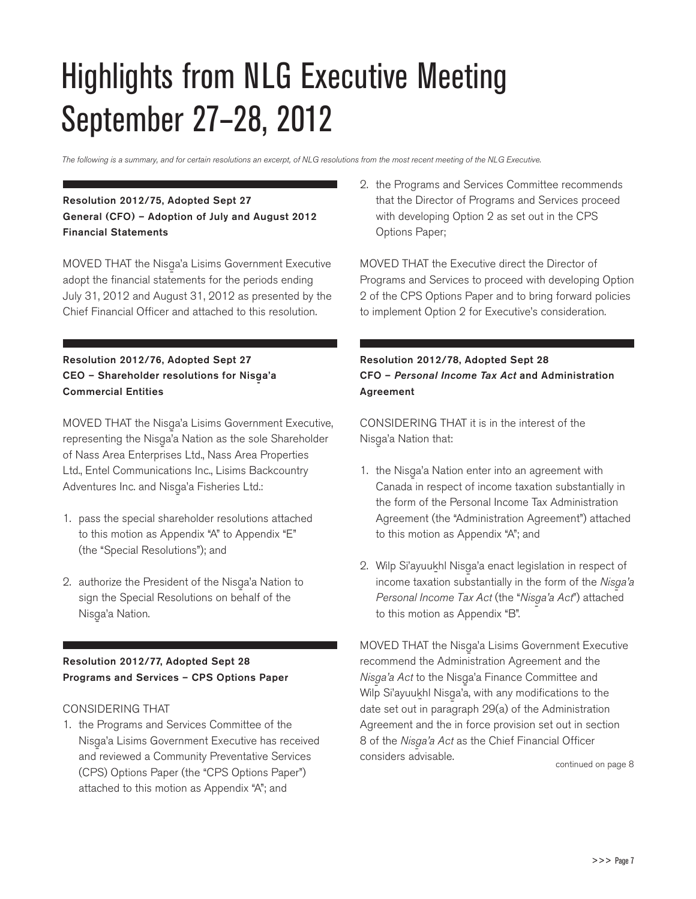### Highlights from NLG Executive Meeting September 27–28, 2012

*The following is a summary, and for certain resolutions an excerpt, of NLG resolutions from the most recent meeting of the NLG Executive.* 

#### Resolution 2012/75, Adopted Sept 27 General (CFO) – Adoption of July and August 2012 Financial Statements

MOVED THAT the Nisga'a Lisims Government Executive<br>Alan Little Control of the Little Control of the Little Control of the Little Control of the Little Control of adopt the financial statements for the periods ending July 31, 2012 and August 31, 2012 as presented by the Chief Financial Officer and attached to this resolution.

#### Resolution 2012/76, Adopted Sept 27 CEO – Shareholder resolutions for Nisga'a<br>-Commercial Entities

MOVED THAT the Nisga'a Lisims Government Executive, representing the Nisga'a Nation as the sole Shareholder of Nass Area Enterprises Ltd., Nass Area Properties Ltd., Entel Communications Inc., Lisims Backcountry Adventures Inc. and Nisga'a Fisheries Ltd.:<br>.

- 1. pass the special shareholder resolutions attached to this motion as Appendix "A" to Appendix "E" (the "Special Resolutions"); and
- 2. authorize the President of the Nisga'a Nation to sign the Special Resolutions on behalf of the Nisga'a Nation.<br>'

#### Resolution 2012/77, Adopted Sept 28 Programs and Services – CPS Options Paper

#### CONSIDERING THAT

1. the Programs and Services Committee of the Nisga'a Lisims Government Executive has received and reviewed a Community Preventative Services (CPS) Options Paper (the "CPS Options Paper") attached to this motion as Appendix "A"; and

2. the Programs and Services Committee recommends that the Director of Programs and Services proceed with developing Option 2 as set out in the CPS Options Paper;

MOVED THAT the Executive direct the Director of Programs and Services to proceed with developing Option 2 of the CPS Options Paper and to bring forward policies to implement Option 2 for Executive's consideration.

#### Resolution 2012/78, Adopted Sept 28 CFO – *Personal Income Tax Act* and Administration Agreement

CONSIDERING THAT it is in the interest of the Nisga'a Nation that:<br>'

- 1. the Nisga'a Nation enter into an agreement with Canada in respect of income taxation substantially in the form of the Personal Income Tax Administration Agreement (the "Administration Agreement") attached to this motion as Appendix "A"; and
- 2. Wilp Si'ayuukhl Nisga'a enact legislation in respect of income taxation substantially in the form of the *Nisga'a*<br>  $\overline{a}$ *Personal Income Tax Act* (the "*Nisga'a Act*") attached<br>' to this motion as Appendix "B".

MOVED THAT the Nisga'a Lisims Government Executive<br>Alisa Alista Alisteria Alisteria Alisteria Alisteria recommend the Administration Agreement and the *Nisga'a Act* to the Nisga'a Finance Committee and<br>
Af<sup>ile</sup> City and Little in the city of the city of the city of the city of the city of the city of the city of the Wilp Si'ayuukhl Nisga'a, with any modifications to the<br>http://www.head.com/with any modifications.com date set out in paragraph 29(a) of the Administration Agreement and the in force provision set out in section 8 of the *Nisga'a Act* as the Chief Financial Officer considers advisable.

continued on page 8